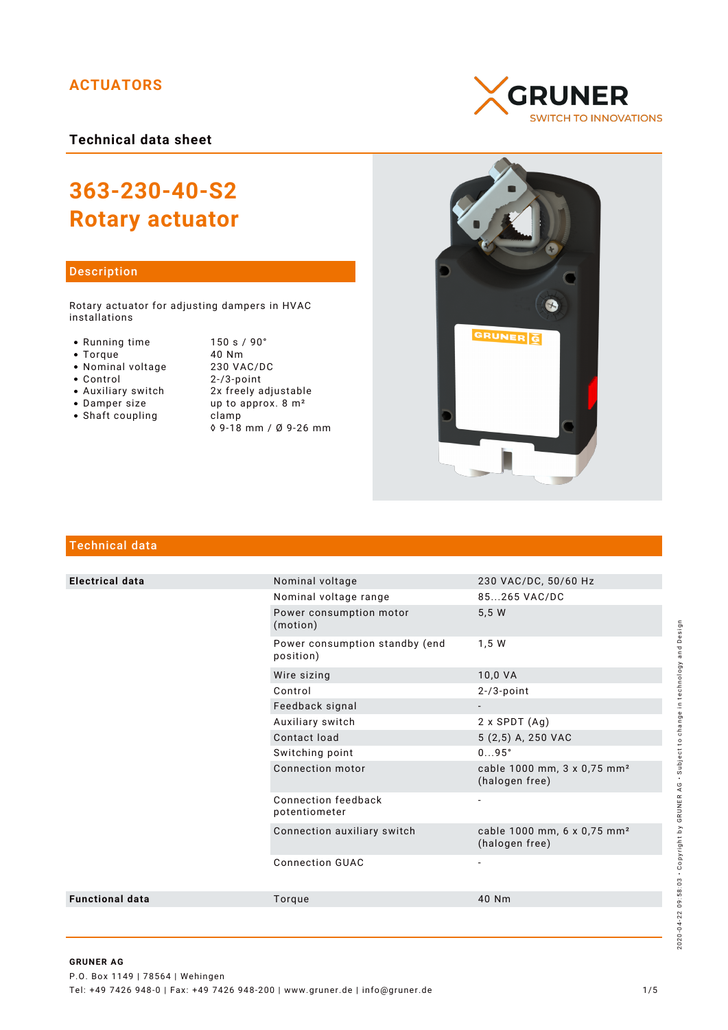# **ACTUATORS**

**Technical data sheet**

# **363-230-40-S2 Rotary actuator**

## Description

Rotary actuator for adjusting dampers in HVAC installations

- 
- 
- 
- Nominal voltage<br>• Control
- 
- 
- $\bullet$  Shaft coupling

● Running time 150 s / 90°<br>● Torque 10 Nm Torque 40 Nm  $2 - / 3$ -point Auxiliary switch 2x freely adjustable • Damper size  $up$  up to approx.  $8 \text{ m}^2$ <br>• Shaft coupling clamp ◊ 9-18 mm / Ø 9-26 mm





# Technical data

| <b>Electrical data</b> | Nominal voltage                             | 230 VAC/DC, 50/60 Hz                                      |
|------------------------|---------------------------------------------|-----------------------------------------------------------|
|                        | Nominal voltage range                       | 85265 VAC/DC                                              |
|                        | Power consumption motor<br>(motion)         | 5,5 W                                                     |
|                        | Power consumption standby (end<br>position) | 1,5 W                                                     |
|                        | Wire sizing                                 | 10,0 VA                                                   |
|                        | Control                                     | $2 - 73$ -point                                           |
|                        | Feedback signal                             |                                                           |
|                        | Auxiliary switch                            | $2 \times$ SPDT $(Ag)$                                    |
|                        | Contact load                                | 5 (2,5) A, 250 VAC                                        |
|                        | Switching point                             | $095^\circ$                                               |
|                        | Connection motor                            | cable 1000 mm, 3 x 0,75 mm <sup>2</sup><br>(halogen free) |
|                        | Connection feedback<br>potentiometer        |                                                           |
|                        | Connection auxiliary switch                 | cable 1000 mm, 6 x 0,75 mm <sup>2</sup><br>(halogen free) |
|                        | <b>Connection GUAC</b>                      |                                                           |
| <b>Functional data</b> | Torque                                      | 40 Nm                                                     |
|                        |                                             |                                                           |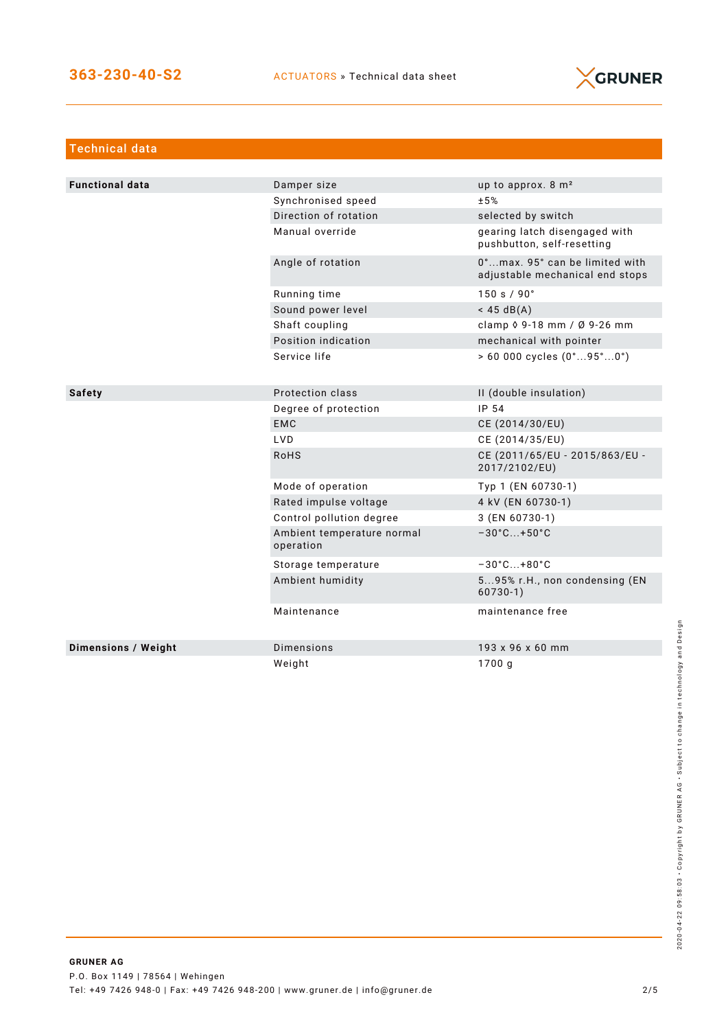

| <b>Technical data</b>      |                                         |                                                                   |
|----------------------------|-----------------------------------------|-------------------------------------------------------------------|
|                            |                                         |                                                                   |
| <b>Functional data</b>     | Damper size                             | up to approx. $8 \text{ m}^2$                                     |
|                            | Synchronised speed                      | ±5%                                                               |
|                            | Direction of rotation                   | selected by switch                                                |
|                            | Manual override                         | gearing latch disengaged with<br>pushbutton, self-resetting       |
|                            | Angle of rotation                       | 0°max. 95° can be limited with<br>adjustable mechanical end stops |
|                            | Running time                            | 150 s / 90°                                                       |
|                            | Sound power level                       | $<$ 45 dB(A)                                                      |
|                            | Shaft coupling                          | clamp $\sqrt{9} - 18$ mm / $\sqrt{9} - 26$ mm                     |
|                            | Position indication                     | mechanical with pointer                                           |
|                            | Service life                            | $> 60000$ cycles $(0^{\circ}95^{\circ}0^{\circ})$                 |
|                            |                                         |                                                                   |
| <b>Safety</b>              | Protection class                        | II (double insulation)                                            |
|                            | Degree of protection                    | IP 54                                                             |
|                            | <b>EMC</b>                              | CE (2014/30/EU)                                                   |
|                            | <b>LVD</b>                              | CE (2014/35/EU)                                                   |
|                            | <b>RoHS</b>                             | CE (2011/65/EU - 2015/863/EU -<br>2017/2102/EU)                   |
|                            | Mode of operation                       | Typ 1 (EN 60730-1)                                                |
|                            | Rated impulse voltage                   | 4 kV (EN 60730-1)                                                 |
|                            | Control pollution degree                | 3 (EN 60730-1)                                                    |
|                            | Ambient temperature normal<br>operation | $-30^{\circ}$ C +50 $^{\circ}$ C                                  |
|                            | Storage temperature                     | $-30^{\circ}$ C +80 $^{\circ}$ C                                  |
|                            | Ambient humidity                        | 595% r.H., non condensing (EN<br>$60730-1)$                       |
|                            | Maintenance                             | maintenance free                                                  |
| <b>Dimensions / Weight</b> | <b>Dimensions</b>                       | 193 x 96 x 60 mm                                                  |
|                            | Weight                                  | 1700 g                                                            |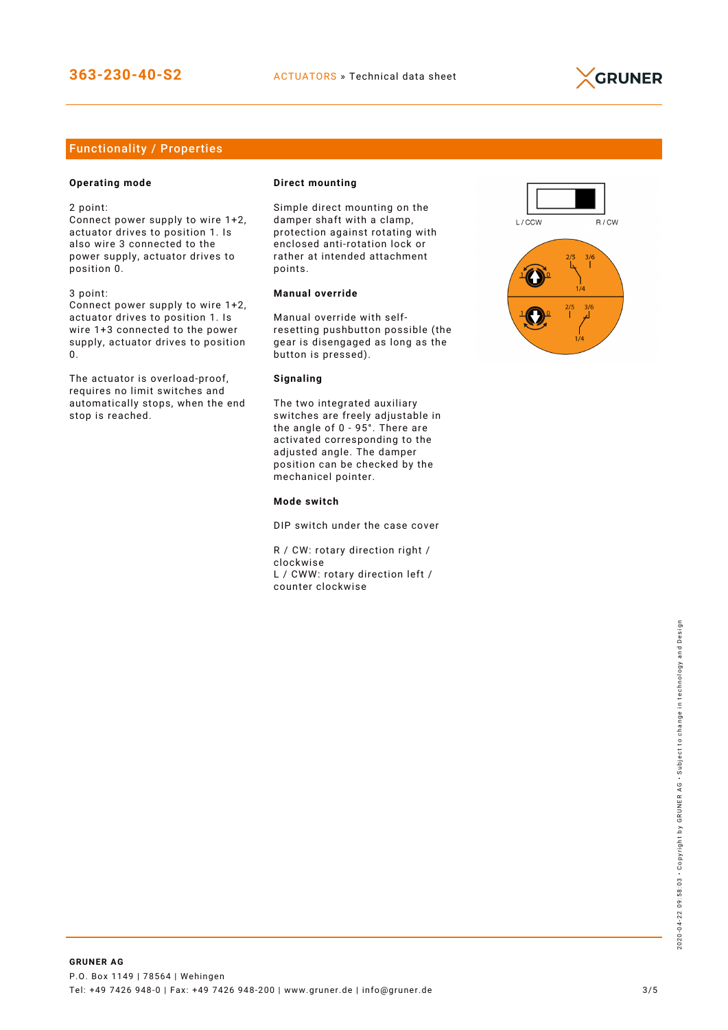

# Functionality / Properties

## **Operating mode**

2 point:

Connect power supply to wire 1+2, actuator drives to position 1. Is also wire 3 connected to the power supply, actuator drives to position 0.

3 point:

Connect power supply to wire 1+2, actuator drives to position 1. Is wire 1+3 connected to the power supply, actuator drives to position 0.

The actuator is overload-proof, requires no limit switches and automatically stops, when the end stop is reached.

#### **Direct mounting**

Simple direct mounting on the damper shaft with a clamp, protection against rotating with enclosed anti-rotation lock or rather at intended attachment points.

## **Manual override**

Manual override with selfresetting pushbutton possible (the gear is disengaged as long as the button is pressed).

#### **Signaling**

The two integrated auxiliary switches are freely adjustable in the angle of 0 - 95°. There are activated corresponding to the adjusted angle. The damper position can be checked by the mechanicel pointer.

#### **Mode switch**

DIP switch under the case cover

R / CW: rotary direction right / clockwise L / CWW: rotary direction left / counter clockwise

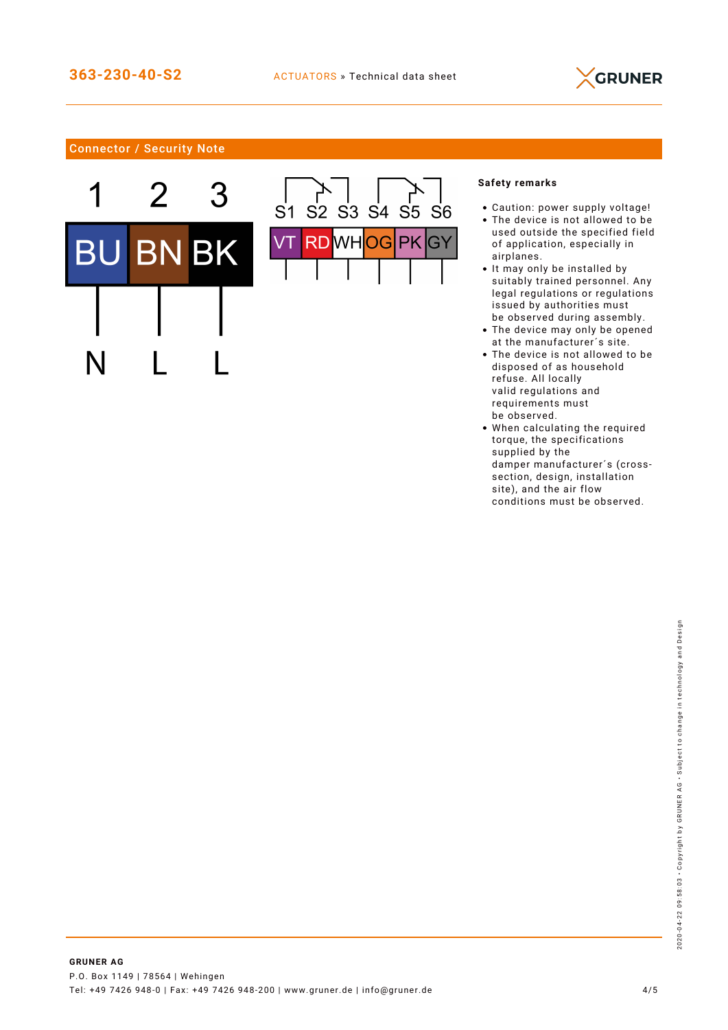

# Connector / Security Note





## **Safety remarks**

- Caution: power supply voltage!
- The device is not allowed to be used outside the specified field of application, especially in airplanes.
- It may only be installed by suitably trained personnel. Any legal regulations or regulations issued by authorities must be observed during assembly.
- The device may only be opened at the manufacturer´s site.
- The device is not allowed to be disposed of as household refuse. All locally valid regulations and requirements must be observed.
- When calculating the required torque, the specifications supplied by the damper manufacturer´s (crosssection, design, installation site), and the air flow conditions must be observed.